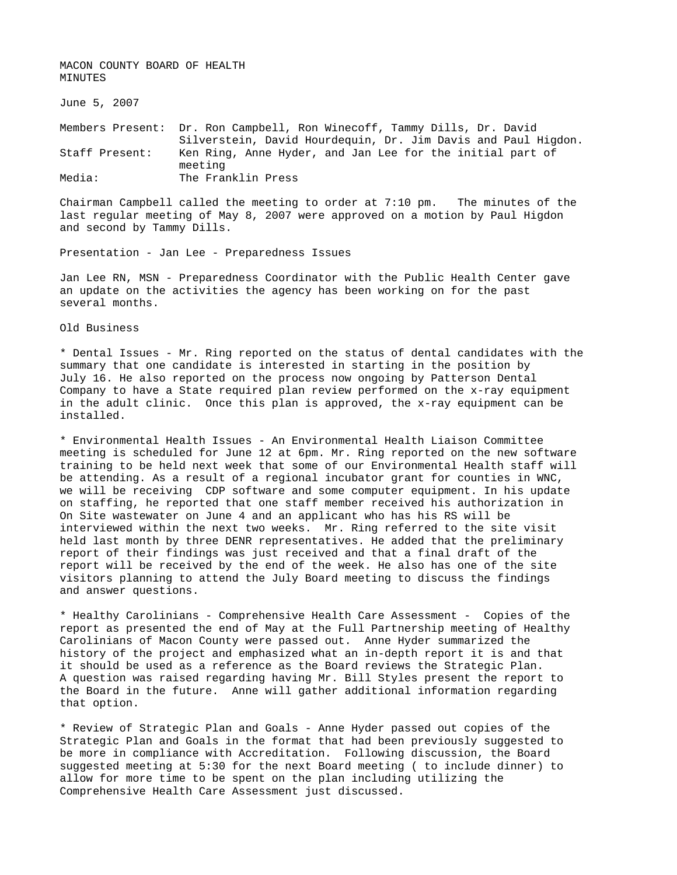MACON COUNTY BOARD OF HEALTH MINUTES

June 5, 2007

Members Present: Dr. Ron Campbell, Ron Winecoff, Tammy Dills, Dr. David Silverstein, David Hourdequin, Dr. Jim Davis and Paul Higdon. Staff Present: Ken Ring, Anne Hyder, and Jan Lee for the initial part of meeting Media: The Franklin Press

Chairman Campbell called the meeting to order at 7:10 pm. The minutes of the last regular meeting of May 8, 2007 were approved on a motion by Paul Higdon and second by Tammy Dills.

Presentation - Jan Lee - Preparedness Issues

Jan Lee RN, MSN - Preparedness Coordinator with the Public Health Center gave an update on the activities the agency has been working on for the past several months.

Old Business

\* Dental Issues - Mr. Ring reported on the status of dental candidates with the summary that one candidate is interested in starting in the position by July 16. He also reported on the process now ongoing by Patterson Dental Company to have a State required plan review performed on the x-ray equipment in the adult clinic. Once this plan is approved, the x-ray equipment can be installed.

\* Environmental Health Issues - An Environmental Health Liaison Committee meeting is scheduled for June 12 at 6pm. Mr. Ring reported on the new software training to be held next week that some of our Environmental Health staff will be attending. As a result of a regional incubator grant for counties in WNC, we will be receiving CDP software and some computer equipment. In his update on staffing, he reported that one staff member received his authorization in On Site wastewater on June 4 and an applicant who has his RS will be interviewed within the next two weeks. Mr. Ring referred to the site visit held last month by three DENR representatives. He added that the preliminary report of their findings was just received and that a final draft of the report will be received by the end of the week. He also has one of the site visitors planning to attend the July Board meeting to discuss the findings and answer questions.

\* Healthy Carolinians - Comprehensive Health Care Assessment - Copies of the report as presented the end of May at the Full Partnership meeting of Healthy Carolinians of Macon County were passed out. Anne Hyder summarized the history of the project and emphasized what an in-depth report it is and that it should be used as a reference as the Board reviews the Strategic Plan. A question was raised regarding having Mr. Bill Styles present the report to the Board in the future. Anne will gather additional information regarding that option.

\* Review of Strategic Plan and Goals - Anne Hyder passed out copies of the Strategic Plan and Goals in the format that had been previously suggested to be more in compliance with Accreditation. Following discussion, the Board suggested meeting at 5:30 for the next Board meeting ( to include dinner) to allow for more time to be spent on the plan including utilizing the Comprehensive Health Care Assessment just discussed.